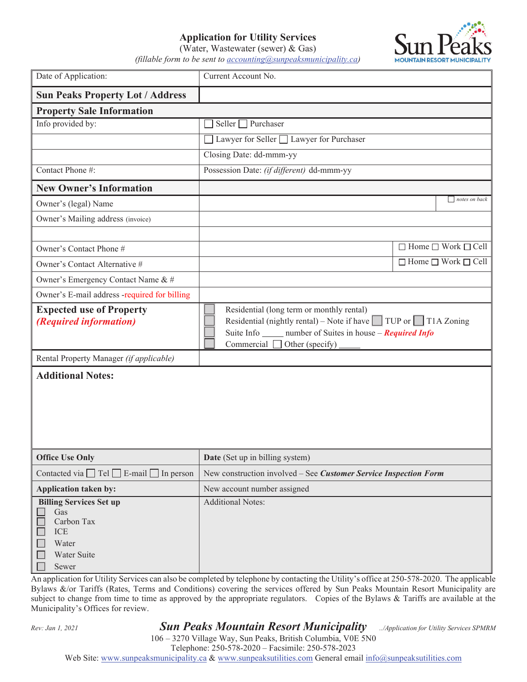## **Application for Utility Services**

**IOUNTAIN RESORT MU** 

|                                                                                                    | (Water, Wastewater (sewer) $& Gas$ ) |  |  |
|----------------------------------------------------------------------------------------------------|--------------------------------------|--|--|
| (fillable form to be sent to $\alpha$ <i>accounting</i> $\alpha$ <i>sunpeaks municipality.ca</i> ) |                                      |  |  |

| Date of Application:                                                                        | Current Account No.                                                                                                                                                                                                           |                                     |  |  |  |
|---------------------------------------------------------------------------------------------|-------------------------------------------------------------------------------------------------------------------------------------------------------------------------------------------------------------------------------|-------------------------------------|--|--|--|
| <b>Sun Peaks Property Lot / Address</b>                                                     |                                                                                                                                                                                                                               |                                     |  |  |  |
| <b>Property Sale Information</b>                                                            |                                                                                                                                                                                                                               |                                     |  |  |  |
| Info provided by:                                                                           | Seller $\Box$ Purchaser                                                                                                                                                                                                       |                                     |  |  |  |
|                                                                                             | Lawyer for Seller □ Lawyer for Purchaser                                                                                                                                                                                      |                                     |  |  |  |
|                                                                                             | Closing Date: dd-mmm-yy                                                                                                                                                                                                       |                                     |  |  |  |
| Contact Phone #:                                                                            | Possession Date: (if different) dd-mmm-yy                                                                                                                                                                                     |                                     |  |  |  |
| <b>New Owner's Information</b>                                                              |                                                                                                                                                                                                                               |                                     |  |  |  |
| Owner's (legal) Name                                                                        |                                                                                                                                                                                                                               | notes on back                       |  |  |  |
| Owner's Mailing address (invoice)                                                           |                                                                                                                                                                                                                               |                                     |  |  |  |
|                                                                                             |                                                                                                                                                                                                                               |                                     |  |  |  |
| Owner's Contact Phone #                                                                     |                                                                                                                                                                                                                               | $\Box$ Home $\Box$ Work $\Box$ Cell |  |  |  |
| Owner's Contact Alternative #                                                               |                                                                                                                                                                                                                               | $\Box$ Home $\Box$ Work $\Box$ Cell |  |  |  |
| Owner's Emergency Contact Name & #                                                          |                                                                                                                                                                                                                               |                                     |  |  |  |
| Owner's E-mail address -required for billing                                                |                                                                                                                                                                                                                               |                                     |  |  |  |
| <b>Expected use of Property</b><br><i>(Required information)</i>                            | Residential (long term or monthly rental)<br>Residential (nightly rental) – Note if have $\Box$ TUP or $\Box$ T1A Zoning<br>Suite Info _______ number of Suites in house – Required Info<br>Commercial $\Box$ Other (specify) |                                     |  |  |  |
| Rental Property Manager (if applicable)                                                     |                                                                                                                                                                                                                               |                                     |  |  |  |
| <b>Additional Notes:</b>                                                                    |                                                                                                                                                                                                                               |                                     |  |  |  |
| <b>Office Use Only</b>                                                                      | Date (Set up in billing system)                                                                                                                                                                                               |                                     |  |  |  |
| Contacted via $\Box$ Tel $\Box$ E-mail $\Box$ In person                                     | New construction involved - See Customer Service Inspection Form                                                                                                                                                              |                                     |  |  |  |
| Application taken by:                                                                       | New account number assigned                                                                                                                                                                                                   |                                     |  |  |  |
| <b>Billing Services Set up</b><br>Gas<br>Carbon Tax<br>ICE<br>Water<br>Water Suite<br>Sewer | <b>Additional Notes:</b>                                                                                                                                                                                                      |                                     |  |  |  |

An application for Utility Services can also be completed by telephone by contacting the Utility's office at 250-578-2020. The applicable Bylaws &/or Tariffs (Rates, Terms and Conditions) covering the services offered by Sun Peaks Mountain Resort Municipality are subject to change from time to time as approved by the appropriate regulators. Copies of the Bylaws & Tariffs are available at the Municipality's Offices for review.

## *Rev: Jan 1,<sup>2021</sup> Sun Peaks Mountain Resort Municipality ../Application for Utility Services SPMRM*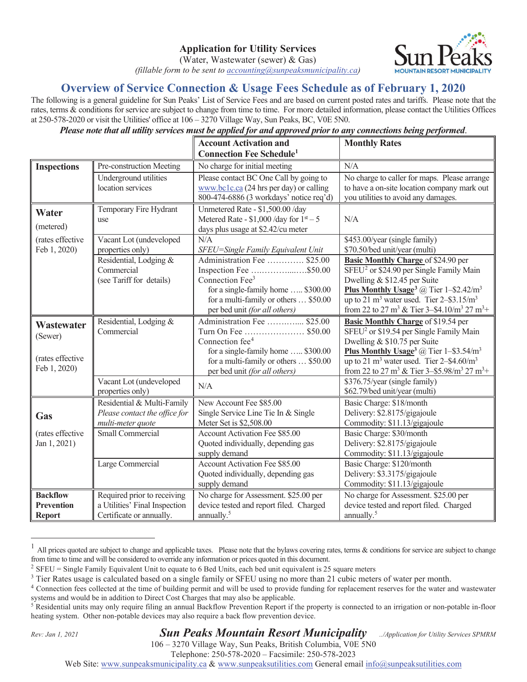(Water, Wastewater (sewer) & Gas)

*(fillable form to be sent to accounting@sunpeaksmunicipality.ca)*



## **Overview of Service Connection & Usage Fees Schedule as of February 1, 2020**

The following is a general guideline for Sun Peaks' List of Service Fees and are based on current posted rates and tariffs. Please note that the rates, terms & conditions for service are subject to change from time to time. For more detailed information, please contact the Utilities Offices at 250-578-2020 or visit the Utilities' office at 106 – 3270 Village Way, Sun Peaks, BC, V0E 5N0.

*Please note that all utility services must be applied for and approved prior to any connections being performed*.

|                                                           |                                                                                          | <b>Account Activation and</b><br><b>Connection Fee Schedule<sup>1</sup></b>                                                                                                                          | <b>Monthly Rates</b>                                                                                                                                                                                                                                                                                                                                       |
|-----------------------------------------------------------|------------------------------------------------------------------------------------------|------------------------------------------------------------------------------------------------------------------------------------------------------------------------------------------------------|------------------------------------------------------------------------------------------------------------------------------------------------------------------------------------------------------------------------------------------------------------------------------------------------------------------------------------------------------------|
| <b>Inspections</b>                                        | Pre-construction Meeting                                                                 | No charge for initial meeting                                                                                                                                                                        | N/A                                                                                                                                                                                                                                                                                                                                                        |
|                                                           | Underground utilities<br>location services                                               | Please contact BC One Call by going to<br>www.bc1c.ca (24 hrs per day) or calling<br>800-474-6886 (3 workdays' notice req'd)                                                                         | No charge to caller for maps. Please arrange<br>to have a on-site location company mark out<br>you utilities to avoid any damages.                                                                                                                                                                                                                         |
| Water<br>(metered)                                        | Temporary Fire Hydrant<br>use                                                            | Unmetered Rate - \$1,500.00 /day<br>Metered Rate - $$1,000$ /day for $1st - 5$<br>days plus usage at \$2.42/cu meter                                                                                 | N/A                                                                                                                                                                                                                                                                                                                                                        |
| (rates effective<br>Feb 1, 2020)                          | Vacant Lot (undeveloped<br>properties only)                                              | N/A<br>SFEU=Single Family Equivalent Unit                                                                                                                                                            | \$453.00/year (single family)<br>\$70.50/bed unit/year (multi)                                                                                                                                                                                                                                                                                             |
|                                                           | Residential, Lodging &<br>Commercial<br>(see Tariff for details)                         | Administration Fee  \$25.00<br>Inspection Fee \$50.00<br>Connection Fee <sup>3</sup><br>for a single-family home  \$300.00<br>for a multi-family or others  \$50.00<br>per bed unit (for all others) | <b>Basic Monthly Charge of \$24.90 per</b><br>SFEU <sup>2</sup> or \$24.90 per Single Family Main<br>Dwelling & \$12.45 per Suite<br>Plus Monthly Usage <sup>3</sup> @ Tier $1 - $2.42/m^3$<br>up to 21 m <sup>3</sup> water used. Tier $2-\$3.15/m^3$<br>from 22 to 27 m <sup>3</sup> & Tier 3-\$4.10/m <sup>3</sup> 27 m <sup>3</sup> +                  |
| Wastewater<br>(Sewer)<br>(rates effective<br>Feb 1, 2020) | Residential, Lodging &<br>Commercial                                                     | Administration Fee  \$25.00<br>Turn On Fee  \$50.00<br>Connection fee <sup>4</sup><br>for a single-family home  \$300.00<br>for a multi-family or others  \$50.00<br>per bed unit (for all others)   | <b>Basic Monthly Charge of \$19.54 per</b><br>SFEU <sup>2</sup> or \$19.54 per Single Family Main<br>Dwelling & \$10.75 per Suite<br>Plus Monthly Usage <sup>3</sup> @ Tier 1-\$3.54/m <sup>3</sup><br>up to 21 m <sup>3</sup> water used. Tier 2-\$4.60/m <sup>3</sup><br>from 22 to 27 m <sup>3</sup> & Tier 3–\$5.98/m <sup>3</sup> 27 m <sup>3</sup> + |
|                                                           | Vacant Lot (undeveloped<br>properties only)                                              | N/A                                                                                                                                                                                                  | \$376.75/year (single family)<br>\$62.79/bed unit/year (multi)                                                                                                                                                                                                                                                                                             |
| Gas                                                       | Residential & Multi-Family<br>Please contact the office for<br>multi-meter quote         | New Account Fee \$85.00<br>Single Service Line Tie In & Single<br>Meter Set is \$2,508.00                                                                                                            | Basic Charge: \$18/month<br>Delivery: \$2.8175/gigajoule<br>Commodity: \$11.13/gigajoule                                                                                                                                                                                                                                                                   |
| (rates effective<br>Jan 1, 2021)                          | Small Commercial                                                                         | Account Activation Fee \$85.00<br>Quoted individually, depending gas<br>supply demand                                                                                                                | Basic Charge: \$30/month<br>Delivery: \$2.8175/gigajoule<br>Commodity: \$11.13/gigajoule                                                                                                                                                                                                                                                                   |
|                                                           | Large Commercial                                                                         | Account Activation Fee \$85.00<br>Quoted individually, depending gas<br>supply demand                                                                                                                | Basic Charge: \$120/month<br>Delivery: \$3.3175/gigajoule<br>Commodity: \$11.13/gigajoule                                                                                                                                                                                                                                                                  |
| <b>Backflow</b><br><b>Prevention</b><br><b>Report</b>     | Required prior to receiving<br>a Utilities' Final Inspection<br>Certificate or annually. | No charge for Assessment. \$25.00 per<br>device tested and report filed. Charged<br>annually. <sup>5</sup>                                                                                           | No charge for Assessment. \$25.00 per<br>device tested and report filed. Charged<br>annually. <sup>5</sup>                                                                                                                                                                                                                                                 |

All prices quoted are subject to change and applicable taxes. Please note that the bylaws covering rates, terms & conditions for service are subject to change from time to time and will be considered to override any information or prices quoted in this document.

*Rev: Jan 1, 2021 Sun Peaks Mountain Resort Municipality ../Application for Utility Services SPMRM*

106 – 3270 Village Way, Sun Peaks, British Columbia, V0E 5N0

Telephone: 250-578-2020 – Facsimile: 250-578-2023

Web Site: www.sunpeaksmunicipality.ca & www.sunpeaksutilities.com General email info@sunpeaksutilities.com

<sup>&</sup>lt;sup>2</sup> SFEU = Single Family Equivalent Unit to equate to 6 Bed Units, each bed unit equivalent is 25 square meters

<sup>&</sup>lt;sup>3</sup> Tier Rates usage is calculated based on a single family or SFEU using no more than 21 cubic meters of water per month.

<sup>&</sup>lt;sup>4</sup> Connection fees collected at the time of building permit and will be used to provide funding for replacement reserves for the water and wastewater systems and would be in addition to Direct Cost Charges that may also be applicable.

<sup>&</sup>lt;sup>5</sup> Residential units may only require filing an annual Backflow Prevention Report if the property is connected to an irrigation or non-potable in-floor heating system. Other non-potable devices may also require a back flow prevention device.